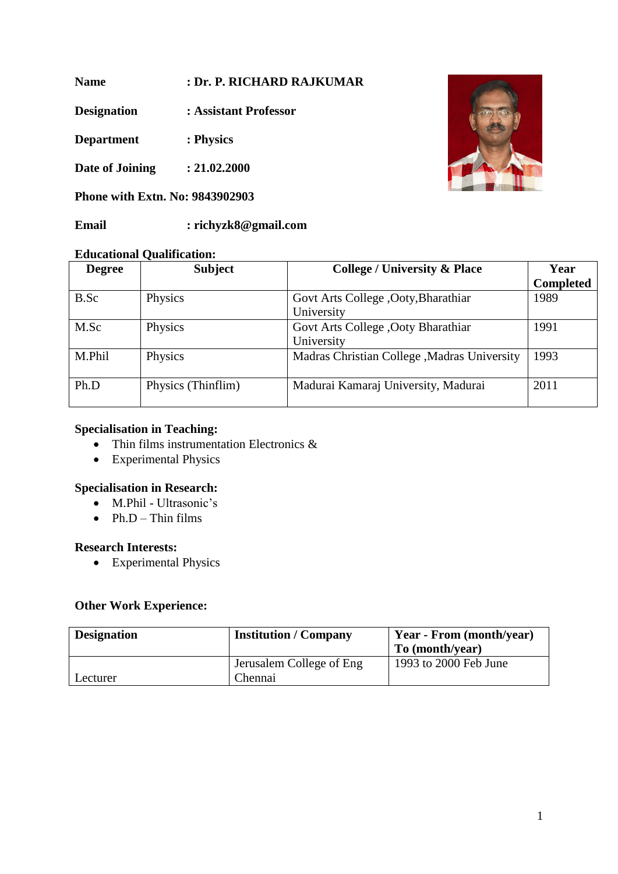**Name : Dr. P. RICHARD RAJKUMAR**

**Designation : Assistant Professor**

**Department : Physics**

**Date of Joining : 21.02.2000**

**Phone with Extn. No: 9843902903**

**Email : richyzk8@gmail.com**

## **Educational Qualification:**

| <b>Degree</b> | <b>Subject</b>     | <b>College / University &amp; Place</b>     | Year             |
|---------------|--------------------|---------------------------------------------|------------------|
|               |                    |                                             | <b>Completed</b> |
| B.Sc          | Physics            | Govt Arts College , Ooty, Bharathiar        | 1989             |
|               |                    | University                                  |                  |
| M.Sc          | Physics            | Govt Arts College , Ooty Bharathiar         | 1991             |
|               |                    | University                                  |                  |
| M.Phil        | Physics            | Madras Christian College, Madras University | 1993             |
| Ph.D          | Physics (Thinflim) | Madurai Kamaraj University, Madurai         | 2011             |

## **Specialisation in Teaching:**

- Thin films instrumentation Electronics &
- Experimental Physics

## **Specialisation in Research:**

- M.Phil Ultrasonic's
- $\bullet$  Ph.D Thin films

## **Research Interests:**

• Experimental Physics

#### **Other Work Experience:**

| <b>Designation</b> | <b>Institution / Company</b>        | Year - From (month/year)<br>To (month/year) |
|--------------------|-------------------------------------|---------------------------------------------|
| Lecturer           | Jerusalem College of Eng<br>Chennai | 1993 to 2000 Feb June                       |